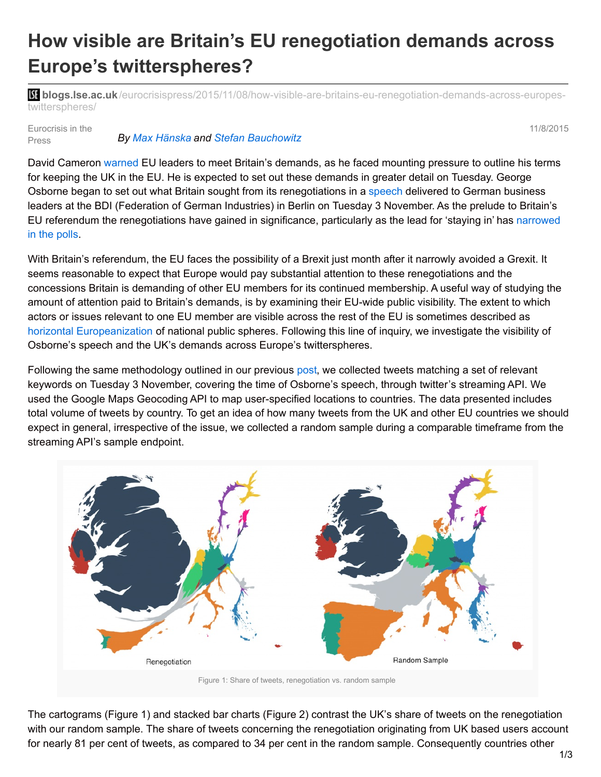## **How visible are Britain's EU renegotiation demands across Europe's twitterspheres?**

**bli blogs.lse.ac.uk**[/eurocrisispress/2015/11/08/how-visible-are-britains-eu-renegotiation-demands-across-europes](http://blogs.lse.ac.uk/eurocrisispress/2015/11/08/how-visible-are-britains-eu-renegotiation-demands-across-europes-twitterspheres/)twitterspheres/

Eurocrisis in the Press *By Max [Hänska](http://blogs.lse.ac.uk/eurocrisispress/category/max-hanska/) and Stefan [Bauchowitz](http://blogs.lse.ac.uk/eurocrisispress/contributors-2/guest-contributors/a-c/)* 11/8/2015

David Cameron [warned](http://www.thetimes.co.uk/tto/news/politics/article4608019.ece) EU leaders to meet Britain's demands, as he faced mounting pressure to outline his terms for keeping the UK in the EU. He is expected to set out these demands in greater detail on Tuesday. George Osborne began to set out what Britain sought from its renegotiations in a [speech](https://www.gov.uk/government/speeches/let-britain-and-germany-work-together-as-partners-for-a-european-union-that-works-better-for-all-of-us-says-chancellor) delivered to German business leaders at the BDI (Federation of German Industries) in Berlin on Tuesday 3 November. As the prelude to Britain's EU referendum the [renegotiations](http://www.telegraph.co.uk/news/newstopics/eureferendum/11617702/poll.html) have gained in significance, particularly as the lead for 'staying in' has narrowed in the polls.

With Britain's referendum, the EU faces the possibility of a Brexit just month after it narrowly avoided a Grexit. It seems reasonable to expect that Europe would pay substantial attention to these renegotiations and the concessions Britain is demanding of other EU members for its continued membership. A useful way of studying the amount of attention paid to Britain's demands, is by examining their EU-wide public visibility. The extent to which actors or issues relevant to one EU member are visible across the rest of the EU is sometimes described as horizontal [Europeanization](http://www.tandfonline.com/doi/abs/10.1080/1351161042000238643) of national public spheres. Following this line of inquiry, we investigate the visibility of Osborne's speech and the UK's demands across Europe's twitterspheres.

Following the same methodology outlined in our previous [post](http://blogs.lse.ac.uk/impactofsocialsciences/2015/10/18/a-european-twitter-sphere-what-tweets-on-the-greek-bailout-say-about-how-europeans-interact-online/), we collected tweets matching a set of relevant keywords on Tuesday 3 November, covering the time of Osborne's speech, through twitter's streaming API. We used the Google Maps Geocoding API to map user-specified locations to countries. The data presented includes total volume of tweets by country. To get an idea of how many tweets from the UK and other EU countries we should expect in general, irrespective of the issue, we collected a random sample during a comparable timeframe from the streaming API's sample endpoint.



The cartograms (Figure 1) and stacked bar charts (Figure 2) contrast the UK's share of tweets on the renegotiation with our random sample. The share of tweets concerning the renegotiation originating from UK based users account for nearly 81 per cent of tweets, as compared to 34 per cent in the random sample. Consequently countries other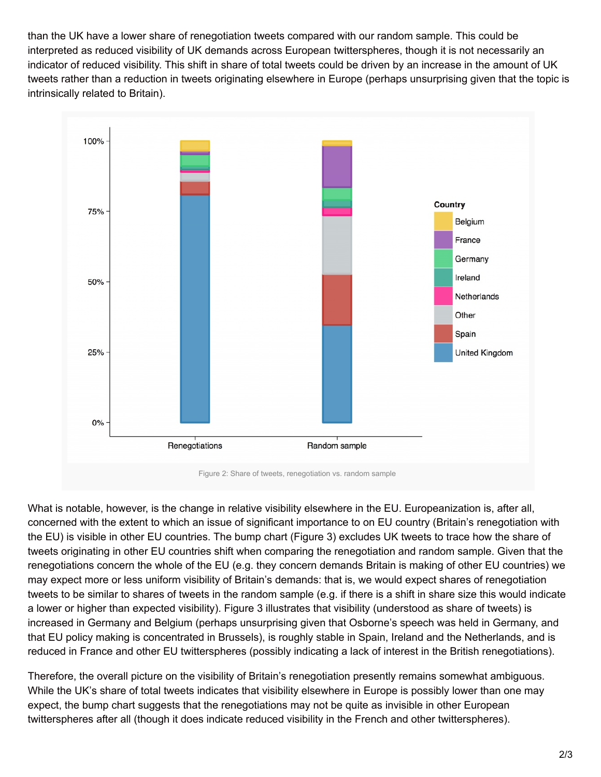than the UK have a lower share of renegotiation tweets compared with our random sample. This could be interpreted as reduced visibility of UK demands across European twitterspheres, though it is not necessarily an indicator of reduced visibility. This shift in share of total tweets could be driven by an increase in the amount of UK tweets rather than a reduction in tweets originating elsewhere in Europe (perhaps unsurprising given that the topic is intrinsically related to Britain).



What is notable, however, is the change in relative visibility elsewhere in the EU. Europeanization is, after all, concerned with the extent to which an issue of significant importance to on EU country (Britain's renegotiation with the EU) is visible in other EU countries. The bump chart (Figure 3) excludes UK tweets to trace how the share of tweets originating in other EU countries shift when comparing the renegotiation and random sample. Given that the renegotiations concern the whole of the EU (e.g. they concern demands Britain is making of other EU countries) we may expect more or less uniform visibility of Britain's demands: that is, we would expect shares of renegotiation tweets to be similar to shares of tweets in the random sample (e.g. if there is a shift in share size this would indicate a lower or higher than expected visibility). Figure 3 illustrates that visibility (understood as share of tweets) is increased in Germany and Belgium (perhaps unsurprising given that Osborne's speech was held in Germany, and that EU policy making is concentrated in Brussels), is roughly stable in Spain, Ireland and the Netherlands, and is reduced in France and other EU twitterspheres (possibly indicating a lack of interest in the British renegotiations).

Therefore, the overall picture on the visibility of Britain's renegotiation presently remains somewhat ambiguous. While the UK's share of total tweets indicates that visibility elsewhere in Europe is possibly lower than one may expect, the bump chart suggests that the renegotiations may not be quite as invisible in other European twitterspheres after all (though it does indicate reduced visibility in the French and other twitterspheres).